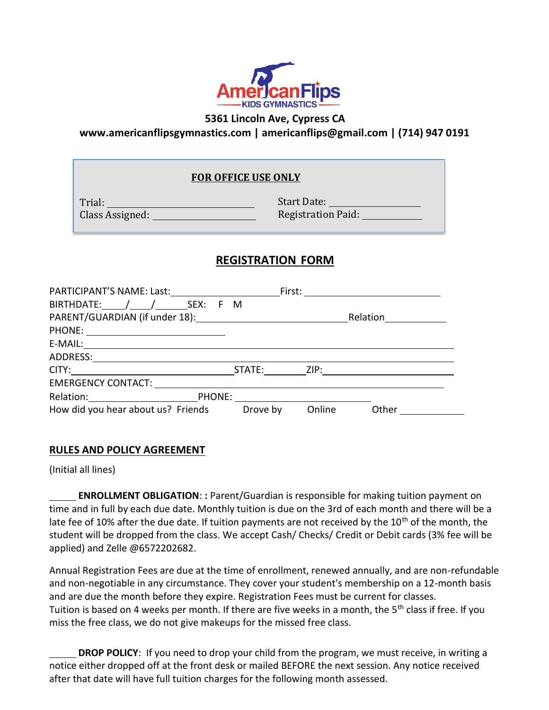

**5361 Lincoln Ave, Cypress CA**

**[www.americanflipsgymnastics.com](http://www.americanflipsgymnastics.com/) | [americanflips@gmail.com](mailto:americanflips@gmail.com) | (714) 947 0191**

## **FOR OFFICE USE ONLY**

Trial: Class Assigned:

Start Date: Registration Paid:

# **REGISTRATION FORM**

|                                                                                                                                                                                                                                | First: ________________________ |
|--------------------------------------------------------------------------------------------------------------------------------------------------------------------------------------------------------------------------------|---------------------------------|
| BIRTHDATE: / / SEX: F M                                                                                                                                                                                                        |                                 |
| PARENT/GUARDIAN (if under 18): Name and the set of the set of the set of the set of the set of the set of the set of the set of the set of the set of the set of the set of the set of the set of the set of the set of the se | Relation <u>________</u>        |
|                                                                                                                                                                                                                                |                                 |
|                                                                                                                                                                                                                                |                                 |
|                                                                                                                                                                                                                                |                                 |
|                                                                                                                                                                                                                                |                                 |
|                                                                                                                                                                                                                                |                                 |
| Relation: PHONE: PHONE:                                                                                                                                                                                                        |                                 |
| How did you hear about us? Friends<br>Drove by                                                                                                                                                                                 | Online<br>Other                 |

## **RULES AND POLICY AGREEMENT**

(Initial all lines)

**ENROLLMENT OBLIGATION**: **:** Parent/Guardian is responsible for making tuition payment on time and in full by each due date. Monthly tuition is due on the 3rd of each month and there will be a late fee of 10% after the due date. If tuition payments are not received by the 10<sup>th</sup> of the month, the student will be dropped from the class. We accept Cash/ Checks/ Credit or Debit cards (3% fee will be applied) and Zelle @6572202682.

Annual Registration Fees are due at the time of enrollment, renewed annually, and are non-refundable and non-negotiable in any circumstance. They cover your student's membership on a 12-month basis and are due the month before they expire. Registration Fees must be current for classes. Tuition is based on 4 weeks per month. If there are five weeks in a month, the 5<sup>th</sup> class if free. If you miss the free class, we do not give makeups for the missed free class.

**DROP POLICY**: If you need to drop your child from the program, we must receive, in writing a notice either dropped off at the front desk or mailed BEFORE the next session. Any notice received after that date will have full tuition charges for the following month assessed.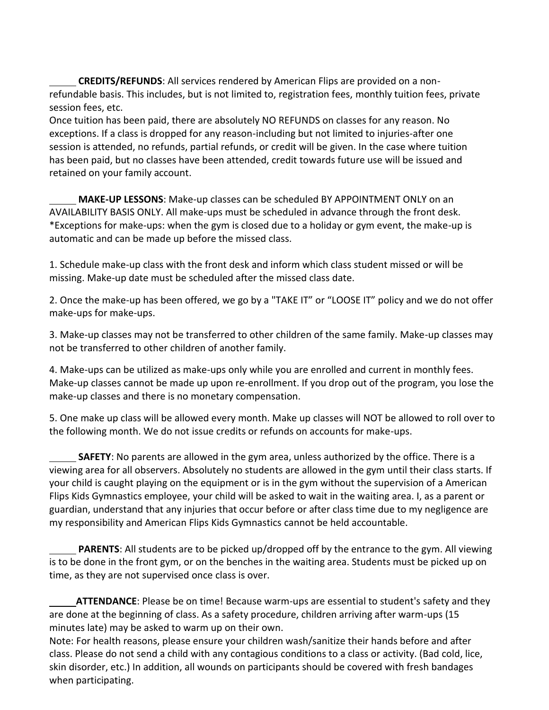**CREDITS/REFUNDS**: All services rendered by American Flips are provided on a nonrefundable basis. This includes, but is not limited to, registration fees, monthly tuition fees, private session fees, etc.

Once tuition has been paid, there are absolutely NO REFUNDS on classes for any reason. No exceptions. If a class is dropped for any reason-including but not limited to injuries-after one session is attended, no refunds, partial refunds, or credit will be given. In the case where tuition has been paid, but no classes have been attended, credit towards future use will be issued and retained on your family account.

**MAKE-UP LESSONS**: Make-up classes can be scheduled BY APPOINTMENT ONLY on an AVAILABILITY BASIS ONLY. All make-ups must be scheduled in advance through the front desk. \*Exceptions for make-ups: when the gym is closed due to a holiday or gym event, the make-up is automatic and can be made up before the missed class.

1. Schedule make-up class with the front desk and inform which class student missed or will be missing. Make-up date must be scheduled after the missed class date.

2. Once the make-up has been offered, we go by a "TAKE IT" or "LOOSE IT" policy and we do not offer make-ups for make-ups.

3. Make-up classes may not be transferred to other children of the same family. Make-up classes may not be transferred to other children of another family.

4. Make-ups can be utilized as make-ups only while you are enrolled and current in monthly fees. Make-up classes cannot be made up upon re-enrollment. If you drop out of the program, you lose the make-up classes and there is no monetary compensation.

5. One make up class will be allowed every month. Make up classes will NOT be allowed to roll over to the following month. We do not issue credits or refunds on accounts for make-ups.

**SAFETY**: No parents are allowed in the gym area, unless authorized by the office. There is a viewing area for all observers. Absolutely no students are allowed in the gym until their class starts. If your child is caught playing on the equipment or is in the gym without the supervision of a American Flips Kids Gymnastics employee, your child will be asked to wait in the waiting area. I, as a parent or guardian, understand that any injuries that occur before or after class time due to my negligence are my responsibility and American Flips Kids Gymnastics cannot be held accountable.

**PARENTS**: All students are to be picked up/dropped off by the entrance to the gym. All viewing is to be done in the front gym, or on the benches in the waiting area. Students must be picked up on time, as they are not supervised once class is over.

**ATTENDANCE**: Please be on time! Because warm-ups are essential to student's safety and they are done at the beginning of class. As a safety procedure, children arriving after warm-ups (15 minutes late) may be asked to warm up on their own.

Note: For health reasons, please ensure your children wash/sanitize their hands before and after class. Please do not send a child with any contagious conditions to a class or activity. (Bad cold, lice, skin disorder, etc.) In addition, all wounds on participants should be covered with fresh bandages when participating.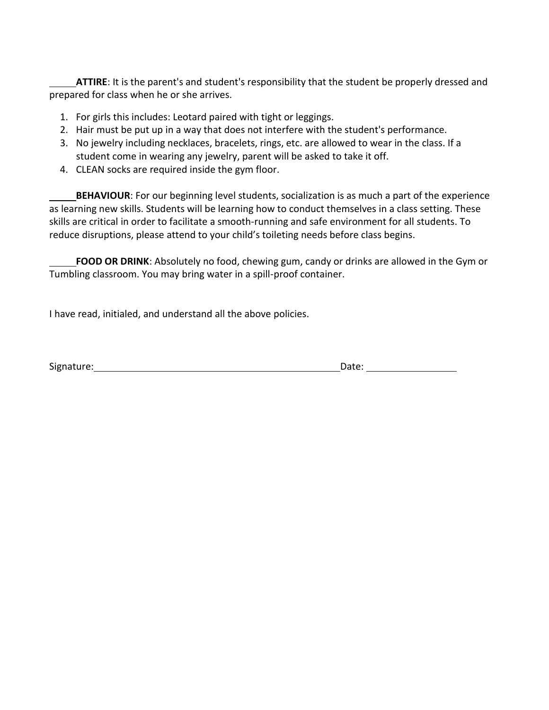**ATTIRE**: It is the parent's and student's responsibility that the student be properly dressed and prepared for class when he or she arrives.

- 1. For girls this includes: Leotard paired with tight or leggings.
- 2. Hair must be put up in a way that does not interfere with the student's performance.
- 3. No jewelry including necklaces, bracelets, rings, etc. are allowed to wear in the class. If a student come in wearing any jewelry, parent will be asked to take it off.
- 4. CLEAN socks are required inside the gym floor.

**BEHAVIOUR**: For our beginning level students, socialization is as much a part of the experience as learning new skills. Students will be learning how to conduct themselves in a class setting. These skills are critical in order to facilitate a smooth-running and safe environment for all students. To reduce disruptions, please attend to your child's toileting needs before class begins.

**FOOD OR DRINK**: Absolutely no food, chewing gum, candy or drinks are allowed in the Gym or Tumbling classroom. You may bring water in a spill-proof container.

I have read, initialed, and understand all the above policies.

| Signature: | Date: |
|------------|-------|
|            |       |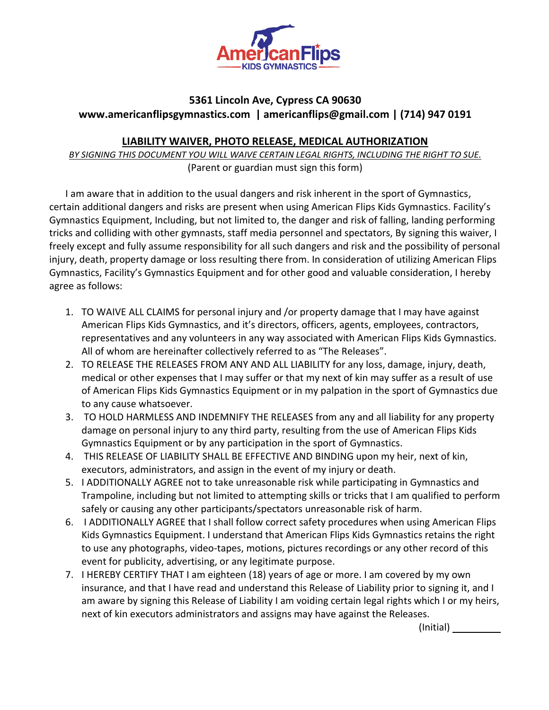

## **5361 Lincoln Ave, Cypress CA 90630 [www.americanflipsgymnastics.com](http://www.americanflipsgymnastics.com/) | [americanflips@gmail.com](mailto:americanflips@gmail.com) | (714) 947 0191**

## **LIABILITY WAIVER, PHOTO RELEASE, MEDICAL AUTHORIZATION**

*BY SIGNING THIS DOCUMENT YOU WILL WAIVE CERTAIN LEGAL RIGHTS, INCLUDING THE RIGHT TO SUE.* (Parent or guardian must sign this form)

I am aware that in addition to the usual dangers and risk inherent in the sport of Gymnastics, certain additional dangers and risks are present when using American Flips Kids Gymnastics. Facility's Gymnastics Equipment, Including, but not limited to, the danger and risk of falling, landing performing tricks and colliding with other gymnasts, staff media personnel and spectators, By signing this waiver, I freely except and fully assume responsibility for all such dangers and risk and the possibility of personal injury, death, property damage or loss resulting there from. In consideration of utilizing American Flips Gymnastics, Facility's Gymnastics Equipment and for other good and valuable consideration, I hereby agree as follows:

- 1. TO WAIVE ALL CLAIMS for personal injury and /or property damage that I may have against American Flips Kids Gymnastics, and it's directors, officers, agents, employees, contractors, representatives and any volunteers in any way associated with American Flips Kids Gymnastics. All of whom are hereinafter collectively referred to as "The Releases".
- 2. TO RELEASE THE RELEASES FROM ANY AND ALL LIABILITY for any loss, damage, injury, death, medical or other expenses that I may suffer or that my next of kin may suffer as a result of use of American Flips Kids Gymnastics Equipment or in my palpation in the sport of Gymnastics due to any cause whatsoever.
- 3. TO HOLD HARMLESS AND INDEMNIFY THE RELEASES from any and all liability for any property damage on personal injury to any third party, resulting from the use of American Flips Kids Gymnastics Equipment or by any participation in the sport of Gymnastics.
- 4. THIS RELEASE OF LIABILITY SHALL BE EFFECTIVE AND BINDING upon my heir, next of kin, executors, administrators, and assign in the event of my injury or death.
- 5. I ADDITIONALLY AGREE not to take unreasonable risk while participating in Gymnastics and Trampoline, including but not limited to attempting skills or tricks that I am qualified to perform safely or causing any other participants/spectators unreasonable risk of harm.
- 6. I ADDITIONALLY AGREE that I shall follow correct safety procedures when using American Flips Kids Gymnastics Equipment. I understand that American Flips Kids Gymnastics retains the right to use any photographs, video-tapes, motions, pictures recordings or any other record of this event for publicity, advertising, or any legitimate purpose.
- 7. I HEREBY CERTIFY THAT I am eighteen (18) years of age or more. I am covered by my own insurance, and that I have read and understand this Release of Liability prior to signing it, and I am aware by signing this Release of Liability I am voiding certain legal rights which I or my heirs, next of kin executors administrators and assigns may have against the Releases.

(Initial)